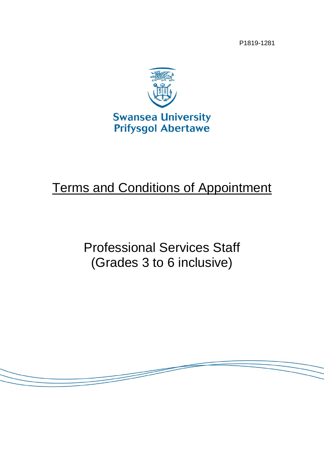P1819-1281



# Terms and Conditions of Appointment

Professional Services Staff (Grades 3 to 6 inclusive)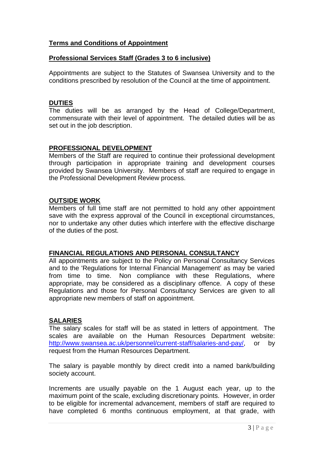## **Terms and Conditions of Appointment**

## **Professional Services Staff (Grades 3 to 6 inclusive)**

Appointments are subject to the Statutes of Swansea University and to the conditions prescribed by resolution of the Council at the time of appointment.

#### **DUTIES**

The duties will be as arranged by the Head of College/Department, commensurate with their level of appointment. The detailed duties will be as set out in the job description.

## **PROFESSIONAL DEVELOPMENT**

Members of the Staff are required to continue their professional development through participation in appropriate training and development courses provided by Swansea University. Members of staff are required to engage in the Professional Development Review process.

## **OUTSIDE WORK**

Members of full time staff are not permitted to hold any other appointment save with the express approval of the Council in exceptional circumstances, nor to undertake any other duties which interfere with the effective discharge of the duties of the post.

#### **FINANCIAL REGULATIONS AND PERSONAL CONSULTANCY**

All appointments are subject to the Policy on Personal Consultancy Services and to the 'Regulations for Internal Financial Management' as may be varied from time to time. Non compliance with these Regulations, where appropriate, may be considered as a disciplinary offence. A copy of these Regulations and those for Personal Consultancy Services are given to all appropriate new members of staff on appointment.

## **SALARIES**

The salary scales for staff will be as stated in letters of appointment. The scales are available on the Human Resources Department website: [http://www.swansea.ac.uk/personnel/current-staff/salaries-and-pay/,](http://www.swansea.ac.uk/personnel/current-staff/salaries-and-pay/) or by request from the Human Resources Department.

The salary is payable monthly by direct credit into a named bank/building society account.

Increments are usually payable on the 1 August each year, up to the maximum point of the scale, excluding discretionary points. However, in order to be eligible for incremental advancement, members of staff are required to have completed 6 months continuous employment, at that grade, with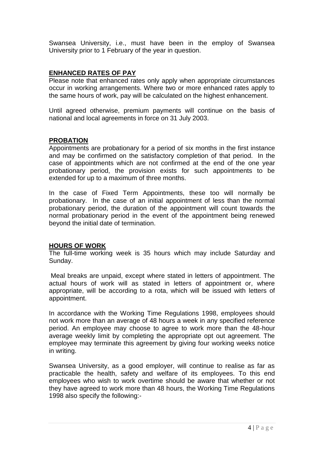Swansea University, i.e., must have been in the employ of Swansea University prior to 1 February of the year in question.

## **ENHANCED RATES OF PAY**

Please note that enhanced rates only apply when appropriate circumstances occur in working arrangements. Where two or more enhanced rates apply to the same hours of work, pay will be calculated on the highest enhancement.

Until agreed otherwise, premium payments will continue on the basis of national and local agreements in force on 31 July 2003.

## **PROBATION**

Appointments are probationary for a period of six months in the first instance and may be confirmed on the satisfactory completion of that period. In the case of appointments which are not confirmed at the end of the one year probationary period, the provision exists for such appointments to be extended for up to a maximum of three months.

In the case of Fixed Term Appointments, these too will normally be probationary. In the case of an initial appointment of less than the normal probationary period, the duration of the appointment will count towards the normal probationary period in the event of the appointment being renewed beyond the initial date of termination.

## **HOURS OF WORK**

The full-time working week is 35 hours which may include Saturday and Sunday.

Meal breaks are unpaid, except where stated in letters of appointment. The actual hours of work will as stated in letters of appointment or, where appropriate, will be according to a rota, which will be issued with letters of appointment.

In accordance with the Working Time Regulations 1998, employees should not work more than an average of 48 hours a week in any specified reference period. An employee may choose to agree to work more than the 48-hour average weekly limit by completing the appropriate opt out agreement. The employee may terminate this agreement by giving four working weeks notice in writing.

Swansea University, as a good employer, will continue to realise as far as practicable the health, safety and welfare of its employees. To this end employees who wish to work overtime should be aware that whether or not they have agreed to work more than 48 hours, the Working Time Regulations 1998 also specify the following:-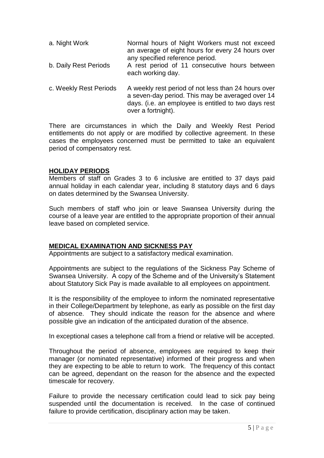- a. Night Work Normal hours of Night Workers must not exceed an average of eight hours for every 24 hours over any specified reference period. b. Daily Rest Periods A rest period of 11 consecutive hours between each working day.
- c. Weekly Rest Periods A weekly rest period of not less than 24 hours over a seven-day period. This may be averaged over 14 days. (i.e. an employee is entitled to two days rest over a fortnight).

There are circumstances in which the Daily and Weekly Rest Period entitlements do not apply or are modified by collective agreement. In these cases the employees concerned must be permitted to take an equivalent period of compensatory rest.

## **HOLIDAY PERIODS**

Members of staff on Grades 3 to 6 inclusive are entitled to 37 days paid annual holiday in each calendar year, including 8 statutory days and 6 days on dates determined by the Swansea University.

Such members of staff who join or leave Swansea University during the course of a leave year are entitled to the appropriate proportion of their annual leave based on completed service.

## **MEDICAL EXAMINATION AND SICKNESS PAY**

Appointments are subject to a satisfactory medical examination.

Appointments are subject to the regulations of the Sickness Pay Scheme of Swansea University. A copy of the Scheme and of the University's Statement about Statutory Sick Pay is made available to all employees on appointment.

It is the responsibility of the employee to inform the nominated representative in their College/Department by telephone, as early as possible on the first day of absence. They should indicate the reason for the absence and where possible give an indication of the anticipated duration of the absence.

In exceptional cases a telephone call from a friend or relative will be accepted.

Throughout the period of absence, employees are required to keep their manager (or nominated representative) informed of their progress and when they are expecting to be able to return to work. The frequency of this contact can be agreed, dependant on the reason for the absence and the expected timescale for recovery.

Failure to provide the necessary certification could lead to sick pay being suspended until the documentation is received. In the case of continued failure to provide certification, disciplinary action may be taken.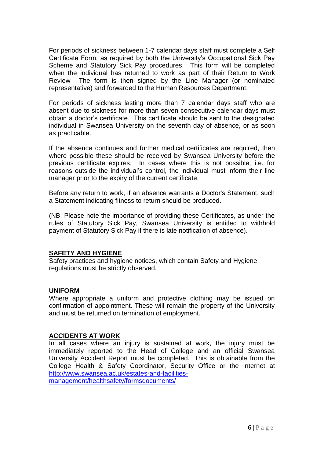For periods of sickness between 1-7 calendar days staff must complete a Self Certificate Form, as required by both the University's Occupational Sick Pay Scheme and Statutory Sick Pay procedures. This form will be completed when the individual has returned to work as part of their Return to Work Review The form is then signed by the Line Manager (or nominated representative) and forwarded to the Human Resources Department.

For periods of sickness lasting more than 7 calendar days staff who are absent due to sickness for more than seven consecutive calendar days must obtain a doctor's certificate. This certificate should be sent to the designated individual in Swansea University on the seventh day of absence, or as soon as practicable.

If the absence continues and further medical certificates are required, then where possible these should be received by Swansea University before the previous certificate expires. In cases where this is not possible, i.e. for reasons outside the individual's control, the individual must inform their line manager prior to the expiry of the current certificate.

Before any return to work, if an absence warrants a Doctor's Statement, such a Statement indicating fitness to return should be produced.

(NB: Please note the importance of providing these Certificates, as under the rules of Statutory Sick Pay, Swansea University is entitled to withhold payment of Statutory Sick Pay if there is late notification of absence).

## **SAFETY AND HYGIENE**

Safety practices and hygiene notices, which contain Safety and Hygiene regulations must be strictly observed.

## **UNIFORM**

Where appropriate a uniform and protective clothing may be issued on confirmation of appointment. These will remain the property of the University and must be returned on termination of employment.

## **ACCIDENTS AT WORK**

In all cases where an injury is sustained at work, the injury must be immediately reported to the Head of College and an official Swansea University Accident Report must be completed. This is obtainable from the College Health & Safety Coordinator, Security Office or the Internet at [http://www.swansea.ac.uk/estates-and-facilities](http://www.swansea.ac.uk/estates-and-facilities-management/healthsafety/formsdocuments/)[management/healthsafety/formsdocuments/](http://www.swansea.ac.uk/estates-and-facilities-management/healthsafety/formsdocuments/)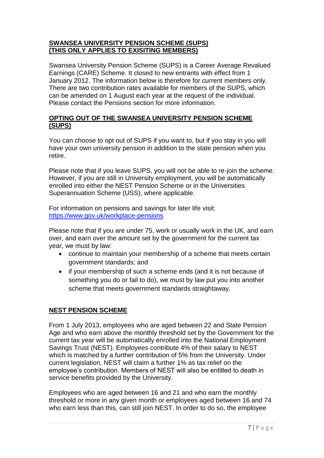## **SWANSEA UNIVERSITY PENSION SCHEME (SUPS) (THIS ONLY APPLIES TO EXISITING MEMBERS)**

Swansea University Pension Scheme (SUPS) is a Career Average Revalued Earnings (CARE) Scheme. It closed to new entrants with effect from 1 January 2012. The information below is therefore for current members only. There are two contribution rates available for members of the SUPS, which can be amended on 1 August each year at the request of the individual. Please contact the Pensions section for more information.

## **OPTING OUT OF THE SWANSEA UNIVERSITY PENSION SCHEME (SUPS)**

You can choose to opt out of SUPS if you want to, but if you stay in you will have your own university pension in addition to the state pension when you retire.

Please note that if you leave SUPS, you will not be able to re-join the scheme. However, if you are still in University employment, you will be automatically enrolled into either the NEST Pension Scheme or in the Universities Superannuation Scheme (USS), where applicable.

For information on pensions and savings for later life visit: <https://www.gov.uk/workplace-pensions>

Please note that if you are under 75, work or usually work in the UK, and earn over, and earn over the amount set by the government for the current tax year, we must by law:

- continue to maintain your membership of a scheme that meets certain government standards; and
- if your membership of such a scheme ends (and it is not because of something you do or fail to do), we must by law put you into another scheme that meets government standards straightaway.

# **NEST PENSION SCHEME**

From 1 July 2013, employees who are aged between 22 and State Pension Age and who earn above the monthly threshold set by the Government for the current tax year will be automatically enrolled into the National Employment Savings Trust (NEST). Employees contribute 4% of their salary to NEST which is matched by a further contribution of 5% from the University. Under current legislation, NEST will claim a further 1% as tax relief on the employee's contribution. Members of NEST will also be entitled to death in service benefits provided by the University.

Employees who are aged between 16 and 21 and who earn the monthly threshold or more in any given month or employees aged between 16 and 74 who earn less than this, can still join NEST. In order to do so, the employee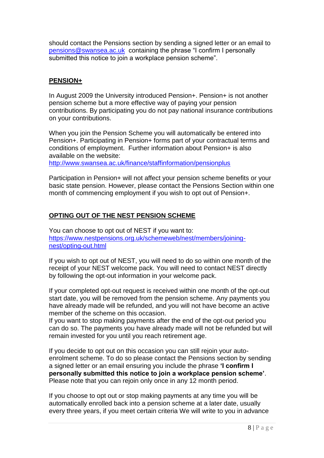should contact the Pensions section by sending a signed letter or an email to [pensions@swansea.ac.uk](mailto:pensions@swansea.ac.uk) containing the phrase "I confirm I personally submitted this notice to join a workplace pension scheme".

# **PENSION+**

In August 2009 the University introduced Pension+. Pension+ is not another pension scheme but a more effective way of paying your pension contributions. By participating you do not pay national insurance contributions on your contributions.

When you join the Pension Scheme you will automatically be entered into Pension+. Participating in Pension+ forms part of your contractual terms and conditions of employment. Further information about Pension+ is also available on the website:

<http://www.swansea.ac.uk/finance/staffinformation/pensionplus>

Participation in Pension+ will not affect your pension scheme benefits or your basic state pension. However, please contact the Pensions Section within one month of commencing employment if you wish to opt out of Pension+.

# **OPTING OUT OF THE NEST PENSION SCHEME**

You can choose to opt out of NEST if you want to: [https://www.nestpensions.org.uk/schemeweb/nest/members/joining](https://www.nestpensions.org.uk/schemeweb/nest/members/joining-nest/opting-out.html)[nest/opting-out.html](https://www.nestpensions.org.uk/schemeweb/nest/members/joining-nest/opting-out.html)

If you wish to opt out of NEST, you will need to do so within one month of the receipt of your NEST welcome pack. You will need to contact NEST directly by following the opt-out information in your welcome pack.

If your completed opt-out request is received within one month of the opt-out start date, you will be removed from the pension scheme. Any payments you have already made will be refunded, and you will not have become an active member of the scheme on this occasion.

If you want to stop making payments after the end of the opt-out period you can do so. The payments you have already made will not be refunded but will remain invested for you until you reach retirement age.

If you decide to opt out on this occasion you can still rejoin your autoenrolment scheme. To do so please contact the Pensions section by sending a signed letter or an email ensuring you include the phrase **'I confirm I personally submitted this notice to join a workplace pension scheme'**. Please note that you can rejoin only once in any 12 month period.

If you choose to opt out or stop making payments at any time you will be automatically enrolled back into a pension scheme at a later date, usually every three years, if you meet certain criteria We will write to you in advance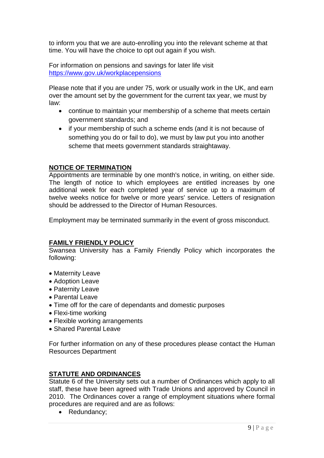to inform you that we are auto-enrolling you into the relevant scheme at that time. You will have the choice to opt out again if you wish.

For information on pensions and savings for later life visit <https://www.gov.uk/workplacepensions>

Please note that if you are under 75, work or usually work in the UK, and earn over the amount set by the government for the current tax year, we must by law:

- continue to maintain your membership of a scheme that meets certain government standards; and
- if your membership of such a scheme ends (and it is not because of something you do or fail to do), we must by law put you into another scheme that meets government standards straightaway.

## **NOTICE OF TERMINATION**

Appointments are terminable by one month's notice, in writing, on either side. The length of notice to which employees are entitled increases by one additional week for each completed year of service up to a maximum of twelve weeks notice for twelve or more years' service. Letters of resignation should be addressed to the Director of Human Resources.

Employment may be terminated summarily in the event of gross misconduct.

## **FAMILY FRIENDLY POLICY**

Swansea University has a Family Friendly Policy which incorporates the following:

- Maternity Leave
- Adoption Leave
- Paternity Leave
- Parental Leave
- Time off for the care of dependants and domestic purposes
- Flexi-time working
- Flexible working arrangements
- Shared Parental Leave

For further information on any of these procedures please contact the Human Resources Department

## **STATUTE AND ORDINANCES**

Statute 6 of the University sets out a number of Ordinances which apply to all staff, these have been agreed with Trade Unions and approved by Council in 2010. The Ordinances cover a range of employment situations where formal procedures are required and are as follows:

• Redundancy;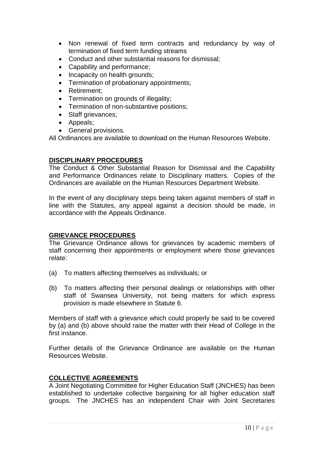- Non renewal of fixed term contracts and redundancy by way of termination of fixed term funding streams
- Conduct and other substantial reasons for dismissal;
- Capability and performance:
- Incapacity on health grounds;
- Termination of probationary appointments:
- Retirement:
- Termination on grounds of illegality:
- Termination of non-substantive positions;
- Staff grievances;
- Appeals;
- General provisions.

All Ordinances are available to download on the Human Resources Website.

## **DISCIPLINARY PROCEDURES**

The Conduct & Other Substantial Reason for Dismissal and the Capability and Performance Ordinances relate to Disciplinary matters. Copies of the Ordinances are available on the Human Resources Department Website.

In the event of any disciplinary steps being taken against members of staff in line with the Statutes, any appeal against a decision should be made, in accordance with the Appeals Ordinance.

## **GRIEVANCE PROCEDURES**

The Grievance Ordinance allows for grievances by academic members of staff concerning their appointments or employment where those grievances relate:

- (a) To matters affecting themselves as individuals; or
- (b) To matters affecting their personal dealings or relationships with other staff of Swansea University, not being matters for which express provision is made elsewhere in Statute 6.

Members of staff with a grievance which could properly be said to be covered by (a) and (b) above should raise the matter with their Head of College in the first instance.

Further details of the Grievance Ordinance are available on the Human Resources Website.

## **COLLECTIVE AGREEMENTS**

A Joint Negotiating Committee for Higher Education Staff (JNCHES) has been established to undertake collective bargaining for all higher education staff groups. The JNCHES has an independent Chair with Joint Secretaries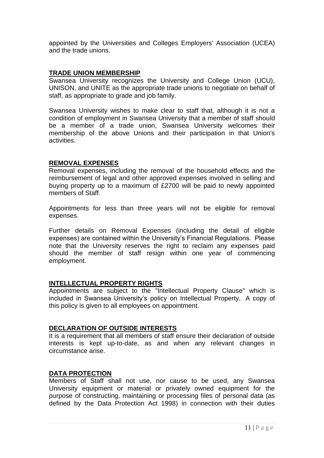appointed by the Universities and Colleges Employers' Association (UCEA) and the trade unions.

## **TRADE UNION MEMBERSHIP**

Swansea University recognizes the University and College Union (UCU), UNISON, and UNITE as the appropriate trade unions to negotiate on behalf of staff, as appropriate to grade and job family.

Swansea University wishes to make clear to staff that, although it is not a condition of employment in Swansea University that a member of staff should be a member of a trade union, Swansea University welcomes their membership of the above Unions and their participation in that Union's activities.

## **REMOVAL EXPENSES**

Removal expenses, including the removal of the household effects and the reimbursement of legal and other approved expenses involved in selling and buying property up to a maximum of £2700 will be paid to newly appointed members of Staff.

Appointments for less than three years will not be eligible for removal expenses.

Further details on Removal Expenses (including the detail of eligible expenses) are contained within the University's Financial Regulations. Please note that the University reserves the right to reclaim any expenses paid should the member of staff resign within one year of commencing employment.

## **INTELLECTUAL PROPERTY RIGHTS**

Appointments are subject to the "Intellectual Property Clause" which is included in Swansea University's policy on Intellectual Property. A copy of this policy is given to all employees on appointment.

#### **DECLARATION OF OUTSIDE INTERESTS**

It is a requirement that all members of staff ensure their declaration of outside interests is kept up-to-date, as and when any relevant changes in circumstance arise.

## **DATA PROTECTION**

Members of Staff shall not use, nor cause to be used, any Swansea University equipment or material or privately owned equipment for the purpose of constructing, maintaining or processing files of personal data (as defined by the Data Protection Act 1998) in connection with their duties